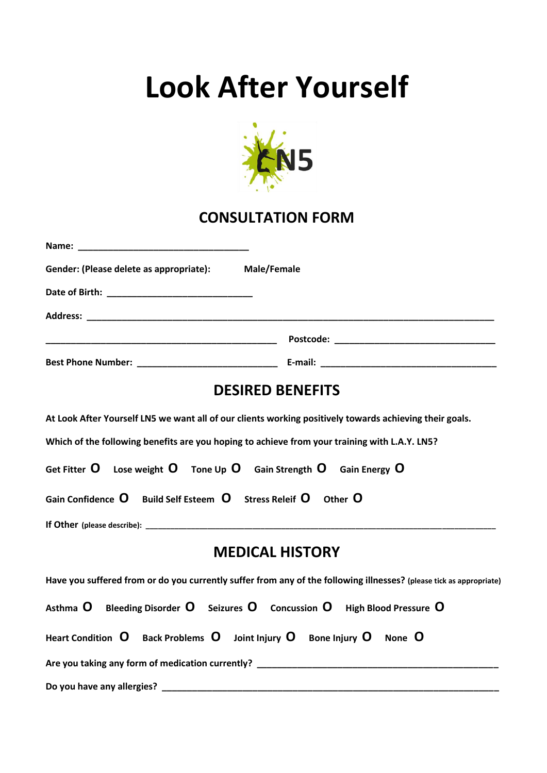**Look After Yourself**



# **CONSULTATION FORM**

| Gender: (Please delete as appropriate): Male/Female                                                                                                                                                |
|----------------------------------------------------------------------------------------------------------------------------------------------------------------------------------------------------|
|                                                                                                                                                                                                    |
|                                                                                                                                                                                                    |
|                                                                                                                                                                                                    |
|                                                                                                                                                                                                    |
| <b>DESIRED BENEFITS</b>                                                                                                                                                                            |
| At Look After Yourself LN5 we want all of our clients working positively towards achieving their goals.                                                                                            |
| Which of the following benefits are you hoping to achieve from your training with L.A.Y. LN5?                                                                                                      |
| Get Fitter $\bf{O}$ Lose weight $\bf{O}$ Tone Up $\bf{O}$ Gain Strength $\bf{O}$ Gain Energy $\bf{O}$                                                                                              |
| Gain Confidence $\, {\bf 0} \,$ Build Self Esteem $\, {\bf 0} \,$ Stress Releif $\, {\bf 0} \,$ Other $\, {\bf 0} \,$                                                                              |
|                                                                                                                                                                                                    |
| <b>MEDICAL HISTORY</b>                                                                                                                                                                             |
| Have you suffered from or do you currently suffer from any of the following illnesses? (please tick as appropriate)                                                                                |
| Asthma $\boldsymbol{\mathsf{O}}$ Bleeding Disorder $\boldsymbol{\mathsf{O}}$ Seizures $\boldsymbol{\mathsf{O}}$ Concussion $\boldsymbol{\mathsf{O}}$ High Blood Pressure $\boldsymbol{\mathsf{O}}$ |
| Heart Condition $\,$ D Back Problems $\,$ D Joint Injury $\,$ D Bone Injury $\,$ O $\,$ None $\,$ O                                                                                                |
|                                                                                                                                                                                                    |

**Do you have any allergies? \_\_\_\_\_\_\_\_\_\_\_\_\_\_\_\_\_\_\_\_\_\_\_\_\_\_\_\_\_\_\_\_\_\_\_\_\_\_\_\_\_\_\_\_\_\_\_\_\_\_\_\_\_\_\_\_\_\_\_\_\_\_\_\_\_\_\_**